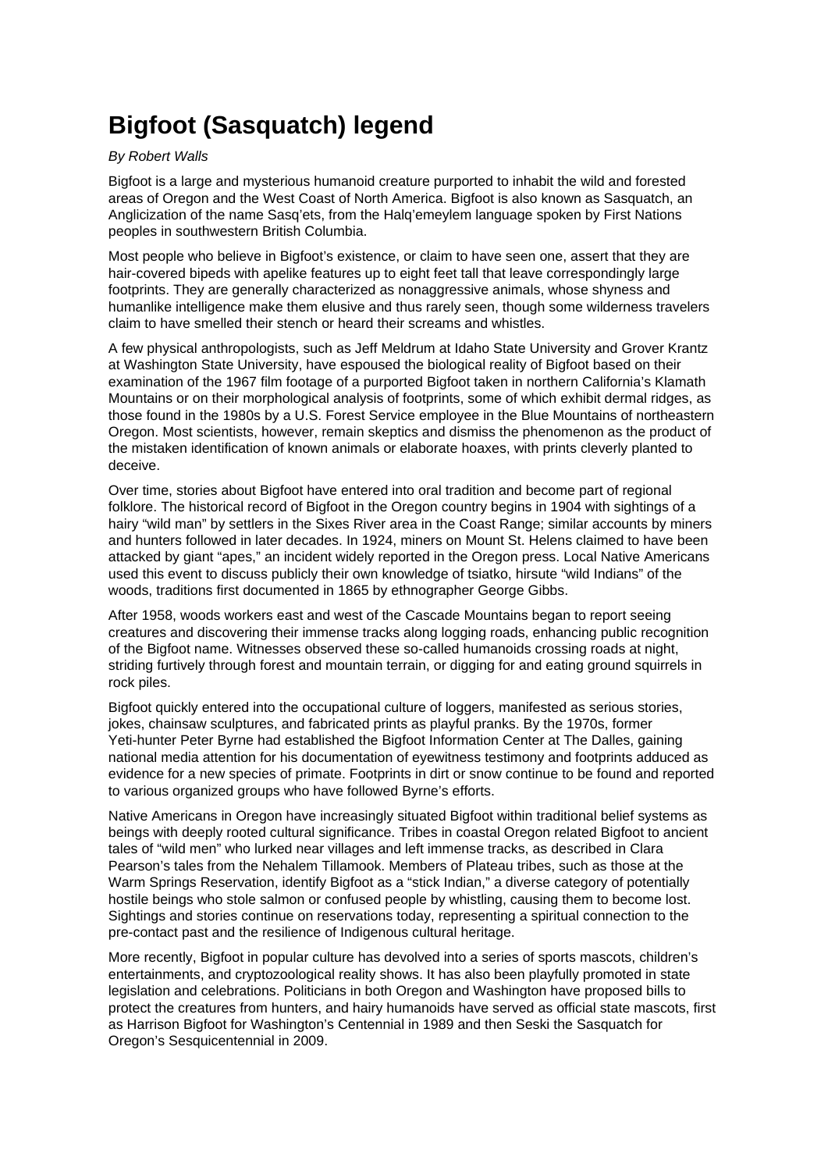## **Bigfoot (Sasquatch) legend**

## By Robert Walls

Bigfoot is a large and mysterious humanoid creature purported to inhabit the wild and forested areas of Oregon and the West Coast of North America. Bigfoot is also known as Sasquatch, an Anglicization of the name Sasq'ets, from the Halq'emeylem language spoken by First Nations peoples in southwestern British Columbia.

Most people who believe in Bigfoot's existence, or claim to have seen one, assert that they are hair-covered bipeds with apelike features up to eight feet tall that leave correspondingly large footprints. They are generally characterized as nonaggressive animals, whose shyness and humanlike intelligence make them elusive and thus rarely seen, though some wilderness travelers claim to have smelled their stench or heard their screams and whistles.

A few physical anthropologists, such as Jeff Meldrum at Idaho State University and Grover Krantz at Washington State University, have espoused the biological reality of Bigfoot based on their examination of the 1967 film footage of a purported Bigfoot taken in northern California's Klamath Mountains or on their morphological analysis of footprints, some of which exhibit dermal ridges, as those found in the 1980s by a U.S. Forest Service employee in the Blue Mountains of northeastern Oregon. Most scientists, however, remain skeptics and dismiss the phenomenon as the product of the mistaken identification of known animals or elaborate hoaxes, with prints cleverly planted to deceive.

Over time, stories about Bigfoot have entered into oral tradition and become part of regional folklore. The historical record of Bigfoot in the Oregon country begins in 1904 with sightings of a hairy "wild man" by settlers in the Sixes River area in the Coast Range; similar accounts by miners and hunters followed in later decades. In 1924, miners on Mount St. Helens claimed to have been attacked by giant "apes," an incident widely reported in the Oregon press. Local Native Americans used this event to discuss publicly their own knowledge of tsiatko, hirsute "wild Indians" of the woods, traditions first documented in 1865 by ethnographer George Gibbs.

After 1958, woods workers east and west of the Cascade Mountains began to report seeing creatures and discovering their immense tracks along logging roads, enhancing public recognition of the Bigfoot name. Witnesses observed these so-called humanoids crossing roads at night, striding furtively through forest and mountain terrain, or digging for and eating ground squirrels in rock piles.

Bigfoot quickly entered into the occupational culture of loggers, manifested as serious stories, jokes, chainsaw sculptures, and fabricated prints as playful pranks. By the 1970s, former Yeti-hunter Peter Byrne had established the Bigfoot Information Center at The Dalles, gaining national media attention for his documentation of eyewitness testimony and footprints adduced as evidence for a new species of primate. Footprints in dirt or snow continue to be found and reported to various organized groups who have followed Byrne's efforts.

Native Americans in Oregon have increasingly situated Bigfoot within traditional belief systems as beings with deeply rooted cultural significance. Tribes in coastal Oregon related Bigfoot to ancient tales of "wild men" who lurked near villages and left immense tracks, as described in Clara Pearson's tales from the Nehalem Tillamook. Members of Plateau tribes, such as those at the Warm Springs Reservation, identify Bigfoot as a "stick Indian," a diverse category of potentially hostile beings who stole salmon or confused people by whistling, causing them to become lost. Sightings and stories continue on reservations today, representing a spiritual connection to the pre-contact past and the resilience of Indigenous cultural heritage.

More recently, Bigfoot in popular culture has devolved into a series of sports mascots, children's entertainments, and cryptozoological reality shows. It has also been playfully promoted in state legislation and celebrations. Politicians in both Oregon and Washington have proposed bills to protect the creatures from hunters, and hairy humanoids have served as official state mascots, first as Harrison Bigfoot for Washington's Centennial in 1989 and then Seski the Sasquatch for Oregon's Sesquicentennial in 2009.